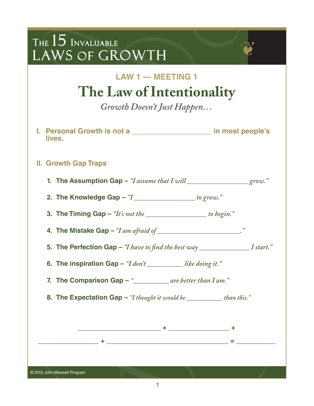| <b>LAW 1 - MEETING 1</b>                                                                                                                                                                                                                                                                              |
|-------------------------------------------------------------------------------------------------------------------------------------------------------------------------------------------------------------------------------------------------------------------------------------------------------|
| The Law of Intentionality                                                                                                                                                                                                                                                                             |
| Growth Doesn't Just Happen                                                                                                                                                                                                                                                                            |
| I. Personal Growth is not a ________________________ in most people's<br>lives.                                                                                                                                                                                                                       |
| <b>II. Growth Gap Traps</b>                                                                                                                                                                                                                                                                           |
| 1. The Assumption Gap $-$ "I assume that I will $\frac{1}{2}$ $\frac{1}{2}$ $\frac{1}{2}$ $\frac{1}{2}$ $\frac{1}{2}$ $\frac{1}{2}$ $\frac{1}{2}$ $\frac{1}{2}$ $\frac{1}{2}$ $\frac{1}{2}$ $\frac{1}{2}$ $\frac{1}{2}$ $\frac{1}{2}$ $\frac{1}{2}$ $\frac{1}{2}$ $\frac{1}{2}$ $\frac{1}{2}$ $\frac$ |
| 2. The Knowledge Gap $-$ " $I$ ______________________ to grow."                                                                                                                                                                                                                                       |
| 3. The Timing Gap $-$ "It's not the $\_\_\_\_\_\_\_\_\_\_$ to begin."                                                                                                                                                                                                                                 |
|                                                                                                                                                                                                                                                                                                       |
| 5. The Perfection Gap $-$ "I have to find the best way $\sqrt{I\arctan B}$ I start."                                                                                                                                                                                                                  |
| 6. The inspiration Gap $-$ "I don't ______________like doing it."                                                                                                                                                                                                                                     |
| 7. The Comparison Gap $-$ "____________ are better than I am."                                                                                                                                                                                                                                        |
| 8. The Expectation Gap - "I thought it would be _________ than this."                                                                                                                                                                                                                                 |
|                                                                                                                                                                                                                                                                                                       |
|                                                                                                                                                                                                                                                                                                       |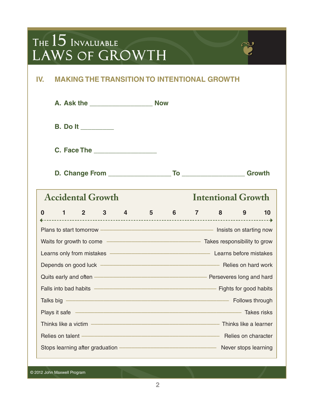### **IV. MAKING THE TRANSITION TO INTENTIONAL GROWTH**

|                                                                                                                                                                                                                                      |  | <b>B.</b> Do It _________ |  |                           |                                                                             |  |    |
|--------------------------------------------------------------------------------------------------------------------------------------------------------------------------------------------------------------------------------------|--|---------------------------|--|---------------------------|-----------------------------------------------------------------------------|--|----|
|                                                                                                                                                                                                                                      |  |                           |  |                           |                                                                             |  |    |
|                                                                                                                                                                                                                                      |  |                           |  |                           |                                                                             |  |    |
| <b>Accidental Growth</b>                                                                                                                                                                                                             |  |                           |  | <b>Intentional Growth</b> |                                                                             |  |    |
| 0                                                                                                                                                                                                                                    |  |                           |  |                           | $1 \qquad 2 \qquad 3 \qquad 4 \qquad 5 \qquad 6 \qquad 7 \qquad 8 \qquad 9$ |  | 10 |
| Plans to start tomorrow ——————————————————— Insists on starting now                                                                                                                                                                  |  |                           |  |                           |                                                                             |  |    |
|                                                                                                                                                                                                                                      |  |                           |  |                           |                                                                             |  |    |
| Learns only from mistakes <b>Construction</b> Learns before mistakes                                                                                                                                                                 |  |                           |  |                           |                                                                             |  |    |
|                                                                                                                                                                                                                                      |  |                           |  |                           |                                                                             |  |    |
|                                                                                                                                                                                                                                      |  |                           |  |                           |                                                                             |  |    |
| Falls into bad habits <u>- and the second of the second of the second second into bad habits</u>                                                                                                                                     |  |                           |  |                           |                                                                             |  |    |
|                                                                                                                                                                                                                                      |  |                           |  |                           |                                                                             |  |    |
| Plays it safe <u>expressions and the same proposed of the same proposed of the same proposed of the same proposed of the same proposed of the same proposed of the same proposed of the same proposed of the same proposed of th</u> |  |                           |  |                           |                                                                             |  |    |
|                                                                                                                                                                                                                                      |  |                           |  |                           |                                                                             |  |    |
| Relies on talent - Committee Committee Committee Committee Committee Committee Committee Committee Committee C                                                                                                                       |  |                           |  |                           |                                                                             |  |    |
| Stops learning after graduation — <b>Constanting and Stops Learning</b> Never stops learning                                                                                                                                         |  |                           |  |                           |                                                                             |  |    |

© 2012 John Maxwell Program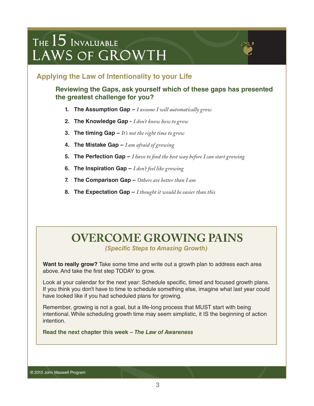

**Reviewing the Gaps, ask yourself which of these gaps has presented the greatest challenge for you?**

- **1. The Assumption Gap** *I assume I will automatically grow*
- **2. The Knowledge Gap** *I don't know how to grow*
- **3. The timing Gap** *It's not the right time to grow*
- **4. The Mistake Gap** *I am afraid of growing*
- **5. The Perfection Gap** *I have to find the best way before I can start growing*
- **6. The Inspiration Gap** *I don't feel like growing*
- **7. The Comparison Gap** *Others are better than I am*
- **8. The Expectation Gap** *I thought it would be easier than this*

### **OVERCOME GROWING PAINS**

*(Specific Steps to Amazing Growth)* 

**Want to really grow?** Take some time and write out a growth plan to address each area above. And take the first step TODAY to grow.

Look at your calendar for the next year: Schedule specific, timed and focused growth plans. If you think you don't have to time to schedule something else, imagine what last year could have looked like if you had scheduled plans for growing.

Remember, growing is not a goal, but a life-long process that MUST start with being intentional. While scheduling growth time may seem simplistic, it IS the beginning of action intention.

**Read the next chapter this week –** *The Law of Awareness*

© 2012 John Maxwell Program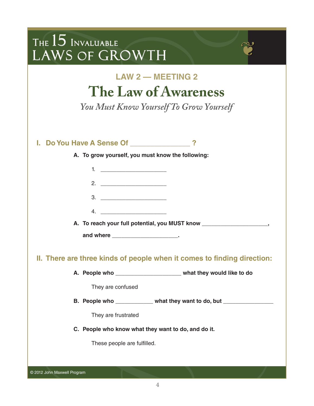| THE $15$ Invaluable<br>LAWS OF GROWTH |                                                                                                                                                |
|---------------------------------------|------------------------------------------------------------------------------------------------------------------------------------------------|
|                                       | <b>LAW 2 – MEETING 2</b><br>The Law of Awareness<br>You Must Know Yourself To Grow Yourself                                                    |
|                                       | I. Do You Have A Sense Of _____________?                                                                                                       |
|                                       | A. To grow yourself, you must know the following:                                                                                              |
|                                       | 1. $\qquad \qquad$                                                                                                                             |
|                                       |                                                                                                                                                |
|                                       |                                                                                                                                                |
|                                       |                                                                                                                                                |
|                                       | A. To reach your full potential, you MUST know _________________________________                                                               |
|                                       |                                                                                                                                                |
|                                       | II. There are three kinds of people when it comes to finding direction:<br>A. People who __________________________ what they would like to do |
|                                       | They are confused                                                                                                                              |
|                                       | B. People who ____________ what they want to do, but _________________                                                                         |
|                                       | They are frustrated                                                                                                                            |
|                                       | C. People who know what they want to do, and do it.                                                                                            |
|                                       | These people are fulfilled.                                                                                                                    |
|                                       |                                                                                                                                                |
|                                       |                                                                                                                                                |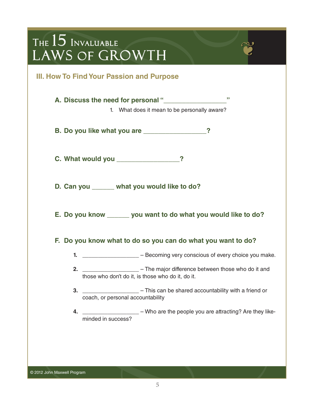|                                                                  | III. How To Find Your Passion and Purpose         |                                                                                |  |  |
|------------------------------------------------------------------|---------------------------------------------------|--------------------------------------------------------------------------------|--|--|
|                                                                  | A. Discuss the need for personal "______________  | ,,,<br>1. What does it mean to be personally aware?                            |  |  |
|                                                                  | B. Do you like what you are ______________?       |                                                                                |  |  |
|                                                                  | C. What would you _______________?                |                                                                                |  |  |
|                                                                  | D. Can you ______ what you would like to do?      |                                                                                |  |  |
| E. Do you know _______ you want to do what you would like to do? |                                                   |                                                                                |  |  |
| Do you know what to do so you can do what you want to do?<br>Е.  |                                                   |                                                                                |  |  |
|                                                                  |                                                   | 1. _____________________ - Becoming very conscious of every choice you make.   |  |  |
|                                                                  | those who don't do it, is those who do it, do it. | 2. ________________________ - The major difference between those who do it and |  |  |
|                                                                  | coach, or personal accountability                 | 3. _____________________ - This can be shared accountability with a friend or  |  |  |
| 4.                                                               | minded in success?                                | - Who are the people you are attracting? Are they like-                        |  |  |
|                                                                  |                                                   |                                                                                |  |  |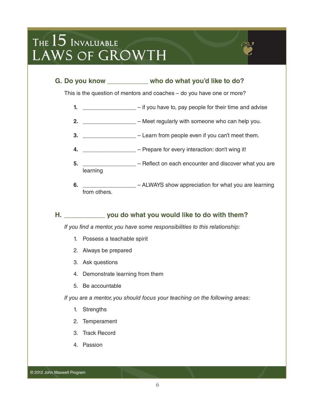

This is the question of mentors and coaches – do you have one or more?

- **1.**  $\blacksquare$  if you have to, pay people for their time and advise
- **2.** \_\_\_\_\_\_\_\_\_\_\_\_\_\_\_\_\_ Meet regularly with someone who can help you.
- **3.** \_\_\_\_\_\_\_\_\_\_\_\_\_\_\_\_\_ Learn from people even if you can't meet them.
- **4.** \_\_\_\_\_\_\_\_\_\_\_\_\_\_\_\_\_ Prepare for every interaction: don't wing it!
- **5.** \_\_\_\_\_\_\_\_\_\_\_\_\_\_\_\_\_ Reflect on each encounter and discover what you are learning
- **6.** \_\_\_\_\_\_\_\_\_\_\_\_\_\_\_\_\_\_\_\_ ALWAYS show appreciation for what you are learning from others.

#### **H. \_\_\_\_\_\_\_\_\_\_\_ you do what you would like to do with them?**

*If you find a mentor, you have some responsibilities to this relationship:*

- 1. Possess a teachable spirit
- 2. Always be prepared
- 3. Ask questions
- 4. Demonstrate learning from them
- 5. Be accountable

*If you are a mentor, you should focus your teaching on the following areas:*

- 1. Strengths
- 2. Temperament
- 3. Track Record
- 4. Passion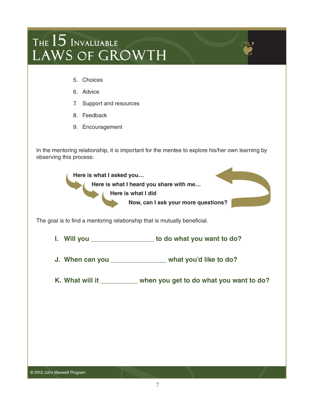- 5. Choices
- 6. Advice
- 7. Support and resources
- 8. Feedback
- 9. Encouragement

In the mentoring relationship, it is important for the mentee to explore his/her own learning by observing this process:

**Here is what I asked you… Here is what I heard you share with me… Here is what I did Now, can I ask your more questions?**

The goal is to find a mentoring relationship that is mutually beneficial.

**I. Will you \_\_\_\_\_\_\_\_\_\_\_\_\_\_\_\_\_ to do what you want to do?**

- **J. When can you \_\_\_\_\_\_\_\_\_\_\_\_\_\_\_ what you'd like to do?**
- **K. What will it \_\_\_\_\_\_\_\_\_\_ when you get to do what you want to do?**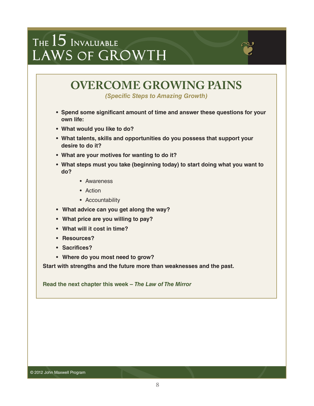

*(Specific Steps to Amazing Growth)* 

- **Spend some significant amount of time and answer these questions for your own life:**
- **What would you like to do?**
- **What talents, skills and opportunities do you possess that support your desire to do it?**
- **What are your motives for wanting to do it?**
- **What steps must you take (beginning today) to start doing what you want to do?**
	- Awareness
	- Action
	- Accountability
- **What advice can you get along the way?**
- **What price are you willing to pay?**
- **What will it cost in time?**
- **Resources?**
- **Sacrifices?**
- **Where do you most need to grow?**

**Start with strengths and the future more than weaknesses and the past.**

**Read the next chapter this week –** *The Law of The Mirror*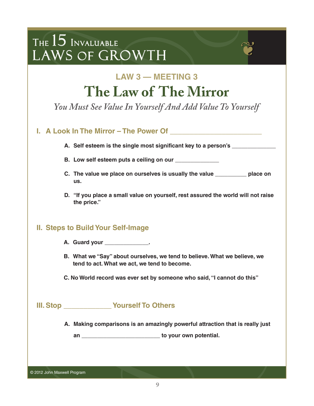### **LAW 3 — MEETING 3 The Law of The Mirror**

*You Must See Value In Yourself And Add Value To Yourself*

| A. Self esteem is the single most significant key to a person's ________________<br>B. Low self esteem puts a ceiling on our _____________<br>C. The value we place on ourselves is usually the value __________ place on<br>D. "If you place a small value on yourself, rest assured the world will not raise |
|----------------------------------------------------------------------------------------------------------------------------------------------------------------------------------------------------------------------------------------------------------------------------------------------------------------|
|                                                                                                                                                                                                                                                                                                                |
|                                                                                                                                                                                                                                                                                                                |
|                                                                                                                                                                                                                                                                                                                |
|                                                                                                                                                                                                                                                                                                                |
|                                                                                                                                                                                                                                                                                                                |
|                                                                                                                                                                                                                                                                                                                |
| B. What we "Say" about ourselves, we tend to believe. What we believe, we<br>tend to act. What we act, we tend to become.                                                                                                                                                                                      |
| C. No World record was ever set by someone who said, "I cannot do this"                                                                                                                                                                                                                                        |
|                                                                                                                                                                                                                                                                                                                |
| A. Making comparisons is an amazingly powerful attraction that is really just                                                                                                                                                                                                                                  |
| an _______________________________ to your own potential.                                                                                                                                                                                                                                                      |
|                                                                                                                                                                                                                                                                                                                |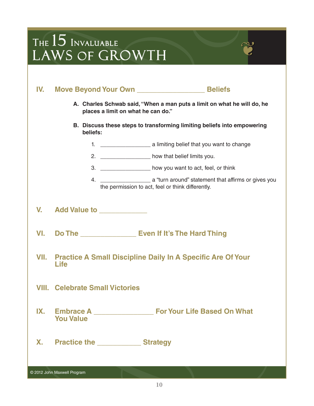| IV.       |                                                                                                               |                                                                         |  |  |  |  |
|-----------|---------------------------------------------------------------------------------------------------------------|-------------------------------------------------------------------------|--|--|--|--|
|           | A. Charles Schwab said, "When a man puts a limit on what he will do, he<br>places a limit on what he can do." |                                                                         |  |  |  |  |
|           | beliefs:                                                                                                      | B. Discuss these steps to transforming limiting beliefs into empowering |  |  |  |  |
|           |                                                                                                               |                                                                         |  |  |  |  |
|           |                                                                                                               | 2. __________________ how that belief limits you.                       |  |  |  |  |
|           |                                                                                                               | 3. __________________ how you want to act, feel, or think               |  |  |  |  |
|           |                                                                                                               | the permission to act, feel or think differently.                       |  |  |  |  |
| V.        | Add Value to ____________                                                                                     |                                                                         |  |  |  |  |
| VI.       | Do The <u>Community Even If It's The Hard Thing</u>                                                           |                                                                         |  |  |  |  |
| VII.      | <b>Life</b>                                                                                                   | <b>Practice A Small Discipline Daily In A Specific Are Of Your</b>      |  |  |  |  |
|           | <b>VIII. Celebrate Small Victories</b>                                                                        |                                                                         |  |  |  |  |
| IX.       | Embrace A<br><b>You Value</b>                                                                                 | <b>For Your Life Based On What</b>                                      |  |  |  |  |
| <b>X.</b> | <b>Practice the Community Contract Strategy</b>                                                               |                                                                         |  |  |  |  |
|           | © 2012 John Maxwell Program                                                                                   |                                                                         |  |  |  |  |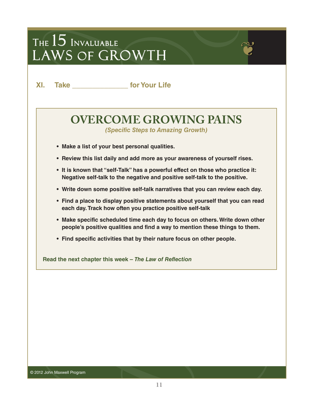**XI. Take \_\_\_\_\_\_\_\_\_\_\_\_\_\_ for Your Life**

### **OVERCOME GROWING PAINS**

*(Specific Steps to Amazing Growth)* 

- **Make a list of your best personal qualities.**
- **Review this list daily and add more as your awareness of yourself rises.**
- **It is known that "self-Talk" has a powerful effect on those who practice it: Negative self-talk to the negative and positive self-talk to the positive.**
- **Write down some positive self-talk narratives that you can review each day.**
- **Find a place to display positive statements about yourself that you can read each day. Track how often you practice positive self-talk**
- **Make specific scheduled time each day to focus on others. Write down other people's positive qualities and find a way to mention these things to them.**
- **Find specific activities that by their nature focus on other people.**

**Read the next chapter this week –** *The Law of Reflection*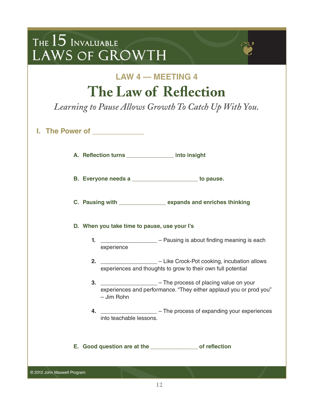| THE $15$ Invaluable<br>LAWS OF GROWTH                                                                      |                                                                                                                                                    |  |  |  |
|------------------------------------------------------------------------------------------------------------|----------------------------------------------------------------------------------------------------------------------------------------------------|--|--|--|
| <b>LAW 4 – MEETING 4</b><br>The Law of Reflection<br>Learning to Pause Allows Growth To Catch Up With You. |                                                                                                                                                    |  |  |  |
| I. The Power of ______________                                                                             |                                                                                                                                                    |  |  |  |
|                                                                                                            | A. Reflection turns ______________ into insight                                                                                                    |  |  |  |
|                                                                                                            | B. Everyone needs a ______________________ to pause.                                                                                               |  |  |  |
|                                                                                                            | C. Pausing with _________________ expands and enriches thinking                                                                                    |  |  |  |
| D. When you take time to pause, use your I's                                                               |                                                                                                                                                    |  |  |  |
|                                                                                                            | experience                                                                                                                                         |  |  |  |
|                                                                                                            | 2. ____________________ – Like Crock-Pot cooking, incubation allows<br>experiences and thoughts to grow to their own full potential                |  |  |  |
|                                                                                                            | 3. ____________________ - The process of placing value on your<br>experiences and performance. "They either applaud you or prod you"<br>- Jim Rohn |  |  |  |
|                                                                                                            | 4. _____________________ - The process of expanding your experiences<br>into teachable lessons.                                                    |  |  |  |
|                                                                                                            | E. Good question are at the ________________ of reflection                                                                                         |  |  |  |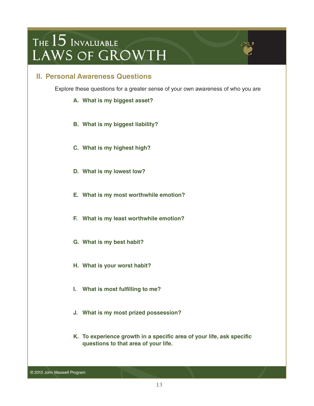#### **II. Personal Awareness Questions**

Explore these questions for a greater sense of your own awareness of who you are

- **A. What is my biggest asset?**
- **B. What is my biggest liability?**
- **C. What is my highest high?**
- **D. What is my lowest low?**
- **E. What is my most worthwhile emotion?**
- **F. What is my least worthwhile emotion?**
- **G. What is my best habit?**
- **H. What is your worst habit?**
- **I. What is most fulfilling to me?**
- **J. What is my most prized possession?**
- **K. To experience growth in a specific area of your life, ask specific questions to that area of your life.**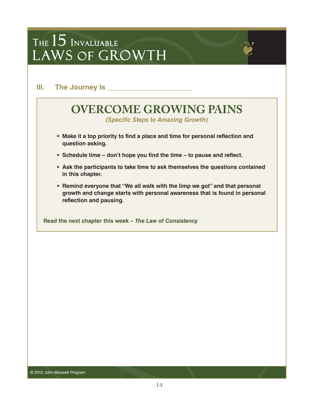**III.** The Journey Is

### **OVERCOME GROWING PAINS**

*(Specific Steps to Amazing Growth)* 

- **Make it a top priority to find a place and time for personal reflection and question asking.**
- **Schedule time – don't hope you find the time – to pause and reflect.**
- **Ask the participants to take time to ask themselves the questions contained in this chapter.**
- **Remind everyone that "We all walk with the limp we got" and that personal growth and change starts with personal awareness that is found in personal reflection and pausing.**

**Read the next chapter this week –** *The Law of Consistency*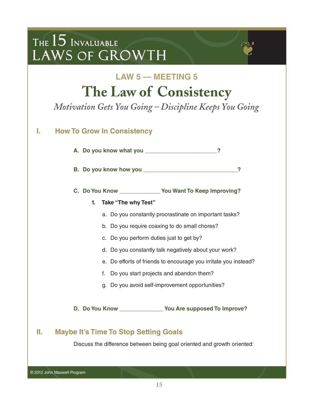### **LAW 5 — MEETING 5 The Law of Consistency**

*Motivation Gets You Going – Discipline Keeps You Going*

### **I. How To Grow In Consistency**

**A. Do you know what you \_\_\_\_\_\_\_\_\_\_\_\_\_\_\_\_\_\_\_\_\_\_\_?**

**B. Do you know how you \_\_\_\_\_\_\_\_\_\_\_\_\_\_\_\_\_\_\_\_\_\_\_\_\_\_\_\_\_\_?**

**C. Do You Know \_\_\_\_\_\_\_\_\_\_\_\_\_ You Want To Keep Improving?**

#### **1. Take "The why Test"**

- a. Do you constantly procrastinate on important tasks?
- b. Do you require coaxing to do small chores?
- c. Do you perform duties just to get by?
- d. Do you constantly talk negatively about your work?
- e. Do efforts of friends to encourage you irritate you instead?
- f. Do you start projects and abandon them?
- g. Do you avoid self-improvement opportunities?

**D. Do You Know \_\_\_\_\_\_\_\_\_\_\_\_\_\_ You Are supposed To Improve?**

### **II. Maybe It's Time To Stop Setting Goals**

Discuss the difference between being goal oriented and growth oriented:

© 2012 John Maxwell Program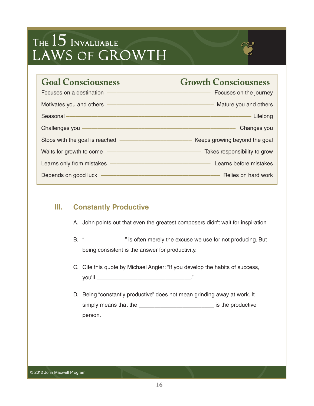

### **III. Constantly Productive**

- A. John points out that even the greatest composers didn't wait for inspiration
- B. "\_\_\_\_\_\_\_\_\_\_\_\_\_\_\_\_" is often merely the excuse we use for not producing. But being consistent is the answer for productivity.
- C. Cite this quote by Michael Angier: "If you develop the habits of success, you'll \_\_\_\_\_\_\_\_\_\_\_\_\_\_\_\_\_\_\_\_\_\_\_\_\_\_\_\_\_\_."
- D. Being "constantly productive" does not mean grinding away at work. It simply means that the **EXACTE SET EXACTES** is the productive person.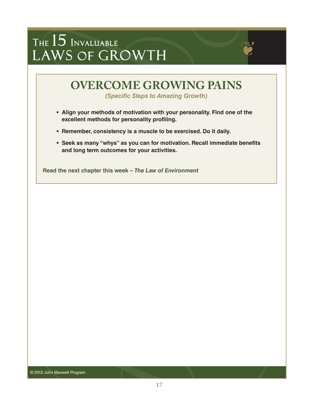

*(Specific Steps to Amazing Growth)* 

- **Align your methods of motivation with your personality. Find one of the excellent methods for personality profiling.**
- **Remember, consistency is a muscle to be exercised. Do it daily.**
- **Seek as many "whys" as you can for motivation. Recall immediate benefits and long term outcomes for your activities.**

**Read the next chapter this week –** *The Law of Environment*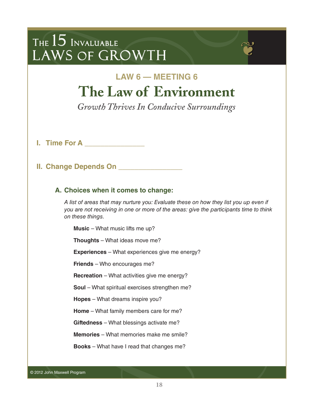### **LAW 6 — MEETING 6 The Law of Environment**

*Growth Thrives In Conducive Surroundings*

**I. Time For A \_\_\_\_\_\_\_\_\_\_\_\_\_\_\_**

### **II. Change Depends On \_\_\_\_\_\_\_\_\_\_\_\_\_\_\_\_**

#### **A. Choices when it comes to change:**

*A list of areas that may nurture you: Evaluate these on how they list you up even if you are not receiving in one or more of the areas: give the participants time to think on these things.*

**Music** – What music lifts me up?

**Thoughts** – What ideas move me?

**Experiences** – What experiences give me energy?

**Friends** – Who encourages me?

**Recreation** – What activities give me energy?

**Soul** – What spiritual exercises strengthen me?

**Hopes** – What dreams inspire you?

**Home** – What family members care for me?

**Giftedness** – What blessings activate me?

**Memories** – What memories make me smile?

**Books** – What have I read that changes me?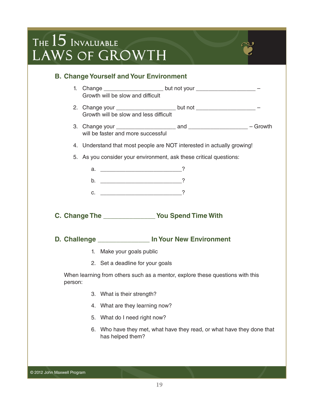

- 1. Change the control but not your the control of the control of the control of the control of the control of the control of the control of the control of the control of the control of the control of the control of the con Growth will be slow and difficult
- 2. Change your \_\_\_\_\_\_\_\_\_\_\_\_\_\_\_\_\_\_\_\_\_\_\_\_ but not \_\_\_\_\_\_\_\_\_\_\_\_\_\_\_\_\_\_\_\_\_\_\_\_ -Growth will be slow and less difficult
- 3. Change your \_\_\_\_\_\_\_\_\_\_\_\_\_\_\_\_\_\_\_ and \_\_\_\_\_\_\_\_\_\_\_\_\_\_\_\_\_\_\_ Growth will be faster and more successful
- 4. Understand that most people are NOT interested in actually growing!
- 5. As you consider your environment, ask these critical questions:

| a. |  |
|----|--|
| D. |  |
| C. |  |

**C. Change The \_\_\_\_\_\_\_\_\_\_\_\_\_\_ You Spend Time With**

**D. Challenge \_\_\_\_\_\_\_\_\_\_\_\_\_\_ In Your New Environment**

- 1. Make your goals public
- 2. Set a deadline for your goals

When learning from others such as a mentor, explore these questions with this person:

- 3. What is their strength?
- 4. What are they learning now?
- 5. What do I need right now?
- 6. Who have they met, what have they read, or what have they done that has helped them?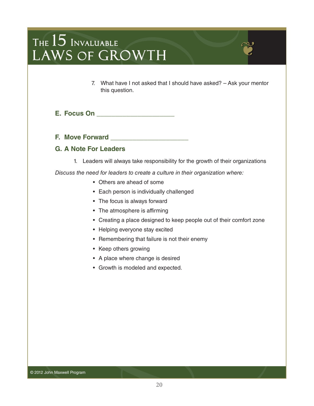- 7. What have I not asked that I should have asked? Ask your mentor this question.
- **E. Focus On \_\_\_\_\_\_\_\_\_\_\_\_\_\_\_\_\_\_\_\_\_**
- **F. Move Forward \_\_\_\_\_\_\_\_\_\_\_\_\_\_\_\_\_\_\_\_\_**

#### **G. A Note For Leaders**

1. Leaders will always take responsibility for the growth of their organizations

*Discuss the need for leaders to create a culture in their organization where:*

- Others are ahead of some
- Each person is individually challenged
- The focus is always forward
- The atmosphere is affirming
- Creating a place designed to keep people out of their comfort zone
- Helping everyone stay excited
- Remembering that failure is not their enemy
- Keep others growing
- A place where change is desired
- Growth is modeled and expected.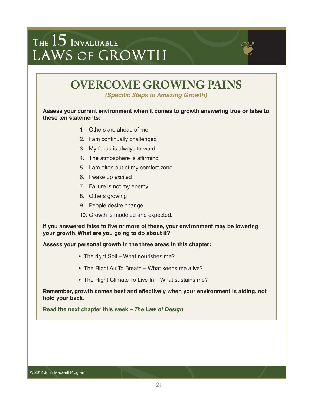

*(Specific Steps to Amazing Growth)* 

#### **Assess your current environment when it comes to growth answering true or false to these ten statements:**

- 1. Others are ahead of me
- 2. I am continually challenged
- 3. My focus is always forward
- 4. The atmosphere is affirming
- 5. I am often out of my comfort zone
- 6. I wake up excited
- 7. Failure is not my enemy
- 8. Others growing
- 9. People desire change
- 10. Growth is modeled and expected.

**If you answered false to five or more of these, your environment may be lowering your growth. What are you going to do about it?**

**Assess your personal growth in the three areas in this chapter:**

- The right Soil What nourishes me?
- The Right Air To Breath What keeps me alive?
- The Right Climate To Live In What sustains me?

**Remember, growth comes best and effectively when your environment is aiding, not hold your back.**

**Read the next chapter this week –** *The Law of Design*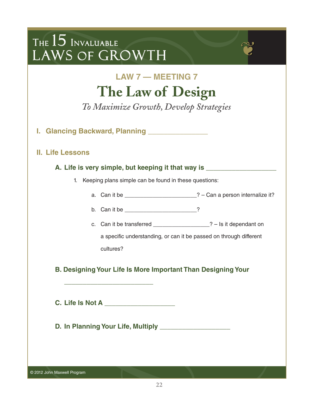### **LAW 7 — MEETING 7 The Law of Design**

*To Maximize Growth, Develop Strategies*

**I. Glancing Backward, Planning \_\_\_\_\_\_\_\_\_\_\_\_\_\_\_**

### **II. Life Lessons**

#### **A. Life is very simple, but keeping it that way is \_\_\_\_\_\_\_\_\_\_\_\_\_\_\_\_\_\_\_**

- 1. Keeping plans simple can be found in these questions:
	- a. Can it be  $\frac{1}{2}$  Can a person internalize it?
	- b. Can it be \_\_\_\_\_\_\_\_\_\_\_\_\_\_\_\_\_\_\_\_\_\_\_\_\_\_?
	- c. Can it be transferred  $\overline{?}$  Is it dependant on

a specific understanding, or can it be passed on through different cultures?

**B. Designing Your Life Is More Important Than Designing Your**

**C. Life Is Not A \_\_\_\_\_\_\_\_\_\_\_\_\_\_\_\_\_\_\_**

**\_\_\_\_\_\_\_\_\_\_\_\_\_\_\_\_\_\_\_\_\_\_\_\_**

**D. In Planning Your Life, Multiply \_\_\_\_\_\_\_\_\_\_\_\_\_\_\_\_\_\_\_**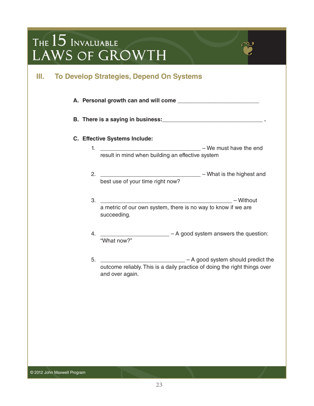### **III. To Develop Strategies, Depend On Systems**

- **A. Personal growth can and will come \_\_\_\_\_\_\_\_\_\_\_\_\_\_\_\_\_\_\_\_\_\_\_\_\_\_**
- **B. There is a saying in business:\_\_\_\_\_\_\_\_\_\_\_\_\_\_\_\_\_\_\_\_\_\_\_\_\_\_\_\_\_\_\_\_ .**

#### **C. Effective Systems Include:**

- 1. \_\_\_\_\_\_\_\_\_\_\_\_\_\_\_\_\_\_\_\_\_\_\_\_\_\_\_\_\_\_\_\_ We must have the end result in mind when building an effective system
- 2. \_\_\_\_\_\_\_\_\_\_\_\_\_\_\_\_\_\_\_\_\_\_\_\_\_\_\_\_\_\_\_\_ What is the highest and best use of your time right now?
- 3. \_\_\_\_\_\_\_\_\_\_\_\_\_\_\_\_\_\_\_\_\_\_\_\_\_\_\_\_\_\_\_\_\_\_\_\_\_\_\_\_\_\_ Without a metric of our own system, there is no way to know if we are succeeding.
- $-$  A good system answers the question: 4. **What now?**"
- 5. \_\_\_\_\_\_\_\_\_\_\_\_\_\_\_\_\_\_\_\_\_\_\_\_\_\_\_\_\_\_ A good system should predict the outcome reliably. This is a daily practice of doing the right things over and over again.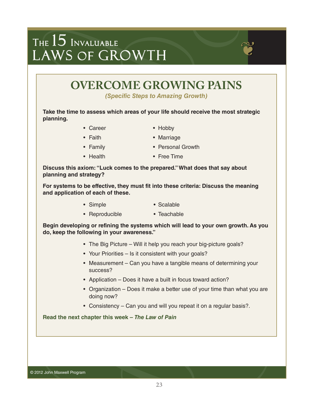### **OVERCOME GROWING PAINS**

*(Specific Steps to Amazing Growth)* 

**Take the time to assess which areas of your life should receive the most strategic planning.**

- Career Hobby
- 

- 
- Faith Marriage
- Family Personal Growth
- 
- Health Free Time

**Discuss this axiom: "Luck comes to the prepared." What does that say about planning and strategy?**

**For systems to be effective, they must fit into these criteria: Discuss the meaning and application of each of these.**

- Simple Scalable
- Reproducible Teachable

**Begin developing or refining the systems which will lead to your own growth. As you do, keep the following in your awareness."**

- The Big Picture Will it help you reach your big-picture goals?
- Your Priorities Is it consistent with your goals?
- Measurement Can you have a tangible means of determining your success?
- Application Does it have a built in focus toward action?
- Organization Does it make a better use of your time than what you are doing now?
- Consistency Can you and will you repeat it on a regular basis?.

**Read the next chapter this week –** *The Law of Pain*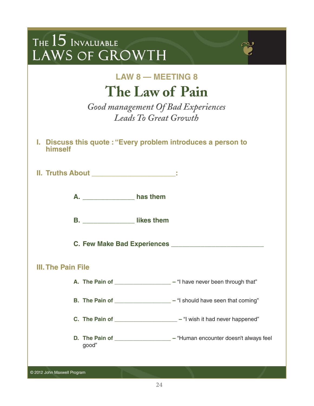| THE $15$ Invaluable<br>LAWS OF GROWTH                                                                             |  |  |  |  |
|-------------------------------------------------------------------------------------------------------------------|--|--|--|--|
| <b>LAW 8 - MEETING 8</b><br>The Law of Pain<br>Good management Of Bad Experiences<br><b>Leads To Great Growth</b> |  |  |  |  |
| I. Discuss this quote: "Every problem introduces a person to<br>himself                                           |  |  |  |  |
|                                                                                                                   |  |  |  |  |
| A. ___________________ has them                                                                                   |  |  |  |  |
| B. Iikes them                                                                                                     |  |  |  |  |
| C. Few Make Bad Experiences _                                                                                     |  |  |  |  |
| <b>III. The Pain File</b>                                                                                         |  |  |  |  |
| A. The Pain of ____________________ - "I have never been through that"                                            |  |  |  |  |
| B. The Pain of _____________________ - "I should have seen that coming"                                           |  |  |  |  |
| C. The Pain of _______________________ - "I wish it had never happened"                                           |  |  |  |  |
| D. The Pain of ____________________ - "Human encounter doesn't always feel<br>good"                               |  |  |  |  |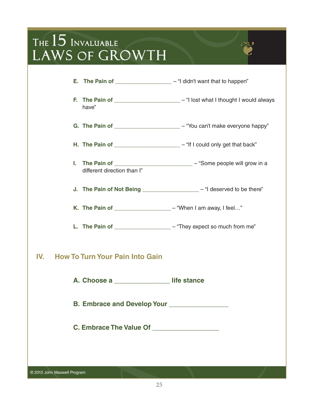|     | <b>E.</b> The Pain of $\frac{1}{\sqrt{1-\frac{1}{\sqrt{1-\frac{1}{\sqrt{1-\frac{1}{\sqrt{1-\frac{1}{\sqrt{1-\frac{1}{\sqrt{1-\frac{1}{\sqrt{1-\frac{1}{\sqrt{1-\frac{1}{\sqrt{1-\frac{1}{\sqrt{1-\frac{1}{\sqrt{1-\frac{1}{\sqrt{1-\frac{1}{\sqrt{1-\frac{1}{\sqrt{1-\frac{1}{\sqrt{1-\frac{1}{\sqrt{1-\frac{1}{\sqrt{1-\frac{1}{\sqrt{1-\frac{1}{\sqrt{1-\frac{1}{\sqrt{1-\frac{1}{\sqrt{1-\frac{1}{\sqrt{1-\frac{1}{$ |                                                                                |
|-----|-------------------------------------------------------------------------------------------------------------------------------------------------------------------------------------------------------------------------------------------------------------------------------------------------------------------------------------------------------------------------------------------------------------------------|--------------------------------------------------------------------------------|
|     | have"                                                                                                                                                                                                                                                                                                                                                                                                                   | F. The Pain of _______________________ - "I lost what I thought I would always |
|     |                                                                                                                                                                                                                                                                                                                                                                                                                         | G. The Pain of _______________________ - "You can't make everyone happy"       |
|     | H. The Pain of ______________________________- "If I could only get that back"                                                                                                                                                                                                                                                                                                                                          |                                                                                |
|     | different direction than I"                                                                                                                                                                                                                                                                                                                                                                                             | I. The Pain of ______________________________ - "Some people will grow in a    |
|     |                                                                                                                                                                                                                                                                                                                                                                                                                         | J. The Pain of Not Being ____________________ - "I deserved to be there"       |
|     | K. The Pain of _____________________ - "When I am away, I feel"                                                                                                                                                                                                                                                                                                                                                         |                                                                                |
|     | L. The Pain of ___________________ - "They expect so much from me"                                                                                                                                                                                                                                                                                                                                                      |                                                                                |
| IV. | <b>How To Turn Your Pain Into Gain</b>                                                                                                                                                                                                                                                                                                                                                                                  |                                                                                |
|     | A. Choose a life stance                                                                                                                                                                                                                                                                                                                                                                                                 |                                                                                |
|     | B. Embrace and Develop Your ______________                                                                                                                                                                                                                                                                                                                                                                              |                                                                                |
|     | C. Embrace The Value Of _____________________                                                                                                                                                                                                                                                                                                                                                                           |                                                                                |
|     |                                                                                                                                                                                                                                                                                                                                                                                                                         |                                                                                |
|     |                                                                                                                                                                                                                                                                                                                                                                                                                         |                                                                                |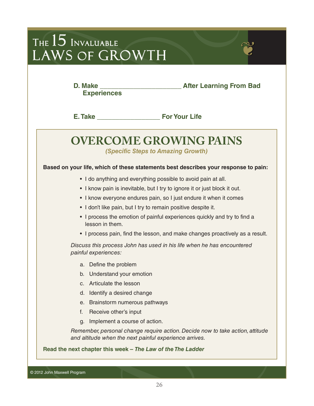| THE $15$ Invaluable |  |
|---------------------|--|
| LAWS OF GROWTH      |  |
|                     |  |

**D. Make \_\_\_\_\_\_\_\_\_\_\_\_\_\_\_\_\_\_\_\_\_\_ After Learning From Bad Experiences**

**E.Take \_\_\_\_\_\_\_\_\_\_\_\_\_\_\_\_\_ For Your Life**

### **OVERCOME GROWING PAINS**

*(Specific Steps to Amazing Growth)* 

#### **Based on your life, which of these statements best describes your response to pain:**

- I do anything and everything possible to avoid pain at all.
- I know pain is inevitable, but I try to ignore it or just block it out.
- I know everyone endures pain, so I just endure it when it comes
- I don't like pain, but I try to remain positive despite it.
- I process the emotion of painful experiences quickly and try to find a lesson in them.
- I process pain, find the lesson, and make changes proactively as a result.

*Discuss this process John has used in his life when he has encountered painful experiences:*

- a. Define the problem
- b. Understand your emotion
- c. Articulate the lesson
- d. Identify a desired change
- e. Brainstorm numerous pathways
- f. Receive other's input
- g. Implement a course of action.

*Remember, personal change require action. Decide now to take action, attitude and altitude when the next painful experience arrives.*

**Read the next chapter this week –** *The Law of the The Ladder*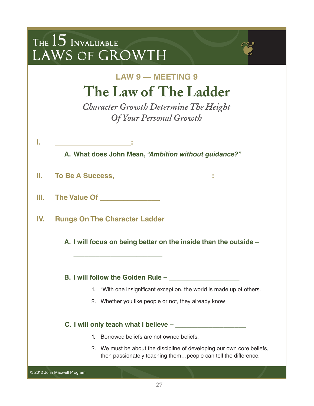| THE $15$ Invaluable<br>LAWS OF GROWTH                                                                                                    |  |  |  |  |  |
|------------------------------------------------------------------------------------------------------------------------------------------|--|--|--|--|--|
| <b>LAW 9 - MEETING 9</b><br>The Law of The Ladder<br><b>Character Growth Determine The Height</b><br><b>Of Your Personal Growth</b>      |  |  |  |  |  |
| I.<br><b>Contract Contract</b><br>A. What does John Mean, "Ambition without guidance?"                                                   |  |  |  |  |  |
| To Be A Success, ________________________:                                                                                               |  |  |  |  |  |
| III. The Value Of <b>The Value Algebra</b>                                                                                               |  |  |  |  |  |
| IV.<br><b>Rungs On The Character Ladder</b>                                                                                              |  |  |  |  |  |
| A. I will focus on being better on the inside than the outside -                                                                         |  |  |  |  |  |
| B. I will follow the Golden Rule –                                                                                                       |  |  |  |  |  |
| 1. "With one insignificant exception, the world is made up of others.                                                                    |  |  |  |  |  |
| 2. Whether you like people or not, they already know                                                                                     |  |  |  |  |  |
|                                                                                                                                          |  |  |  |  |  |
| 1. Borrowed beliefs are not owned beliefs.                                                                                               |  |  |  |  |  |
| 2. We must be about the discipline of developing our own core beliefs,<br>then passionately teaching thempeople can tell the difference. |  |  |  |  |  |
| © 2012 John Maxwell Program                                                                                                              |  |  |  |  |  |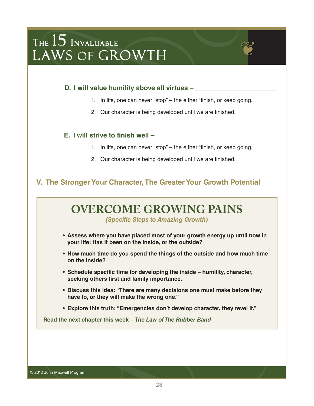

- 1. In life, one can never "stop" the either "finish, or keep going.
- 2. Our character is being developed until we are finished.

#### **E.** I will strive to finish well –

- 1. In life, one can never "stop" the either "finish, or keep going.
- 2. Our character is being developed until we are finished.

#### **V. The Stronger Your Character, The Greater Your Growth Potential**

### **OVERCOME GROWING PAINS**

*(Specific Steps to Amazing Growth)* 

- **Assess where you have placed most of your growth energy up until now in your life: Has it been on the inside, or the outside?**
- **How much time do you spend the things of the outside and how much time on the inside?**
- **Schedule specific time for developing the inside – humility, character, seeking others first and family importance.**
- **Discuss this idea: "There are many decisions one must make before they have to, or they will make the wrong one."**
- **Explore this truth: "Emergencies don't develop character, they revel it."**

**Read the next chapter this week –** *The Law of The Rubber Band*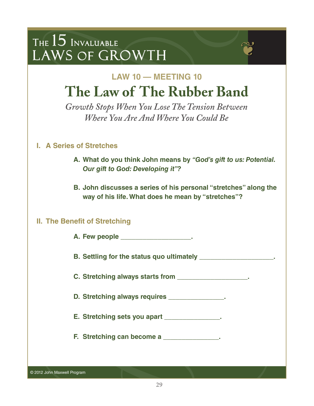### **LAW 10 — MEETING 10 The Law of The Rubber Band**

*Growth Stops When You Lose The Tension Between Where You Are And Where You Could Be*

### **I. A Series of Stretches**

- **A. What do you think John means by** *"God's gift to us: Potential. Our gift to God: Developing it"?*
- **B. John discusses a series of his personal "stretches" along the way of his life. What does he mean by "stretches"?**

### **II. The Benefit of Stretching**

- **A. Few people \_\_\_\_\_\_\_\_\_\_\_\_\_\_\_\_\_\_\_.**
- **B. Settling for the status quo ultimately \_\_\_\_\_\_\_\_\_\_\_\_\_\_\_\_\_\_\_\_.**
- **C. Stretching always starts from \_\_\_\_\_\_\_\_\_\_\_\_\_\_\_\_\_\_\_.**
- **D. Stretching always requires \_\_\_\_\_\_\_\_\_\_\_\_\_\_\_.**
- **E. Stretching sets you apart \_\_\_\_\_\_\_\_\_\_\_\_\_\_\_.**
- **F. Stretching can become a \_\_\_\_\_\_\_\_\_\_\_\_\_\_\_.**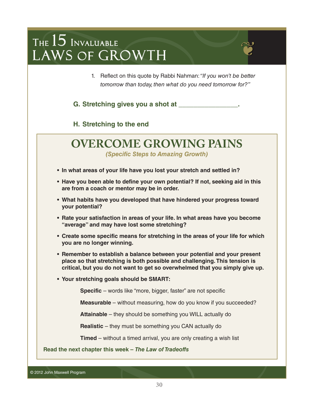1. Reflect on this quote by Rabbi Nahman: *"If you won't be better tomorrow than today, then what do you need tomorrow for?"*

**G. Stretching gives you a shot at \_\_\_\_\_\_\_\_\_\_\_\_\_\_\_\_.**

**H. Stretching to the end**

# **OVERCOME GROWING PAINS**

*(Specific Steps to Amazing Growth)* 

- **In what areas of your life have you lost your stretch and settled in?**
- **Have you been able to define your own potential? If not, seeking aid in this are from a coach or mentor may be in order.**
- **What habits have you developed that have hindered your progress toward your potential?**
- **Rate your satisfaction in areas of your life. In what areas have you become "average" and may have lost some stretching?**
- **Create some specific means for stretching in the areas of your life for which you are no longer winning.**
- **Remember to establish a balance between your potential and your present place so that stretching is both possible and challenging. This tension is critical, but you do not want to get so overwhelmed that you simply give up.**
- **Your stretching goals should be SMART:**

**Specific** – words like "more, bigger, faster" are not specific

**Measurable** – without measuring, how do you know if you succeeded?

**Attainable** – they should be something you WILL actually do

**Realistic** – they must be something you CAN actually do

**Timed** – without a timed arrival, you are only creating a wish list

**Read the next chapter this week –** *The Law of Tradeoffs*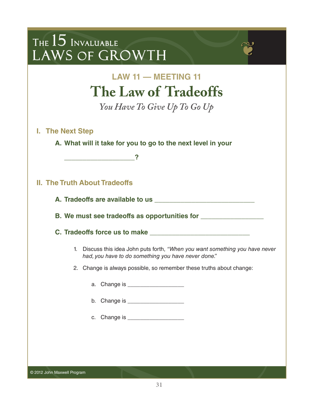| THE $15$ Invaluable<br>LAWS OF GROWTH                                                                                                |
|--------------------------------------------------------------------------------------------------------------------------------------|
| <b>LAW 11 - MEETING 11</b><br>The Law of Tradeoffs                                                                                   |
| You Have To Give Up To Go Up                                                                                                         |
| I. The Next Step<br>A. What will it take for you to go to the next level in your                                                     |
| <b>II. The Truth About Tradeoffs</b>                                                                                                 |
|                                                                                                                                      |
| B. We must see tradeoffs as opportunities for __________________________________                                                     |
| 1. Discuss this idea John puts forth, "When you want something you have never<br>had, you have to do something you have never done." |
| 2. Change is always possible, so remember these truths about change:                                                                 |
| Change is ______________________<br>a.                                                                                               |
|                                                                                                                                      |
| c. Change is _____________________                                                                                                   |
|                                                                                                                                      |

© 2012 John Maxwell Program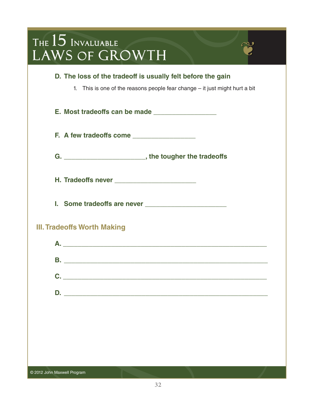| THE $15$ Invaluable<br>LAWS OF GROWTH                                                                                                      |  |
|--------------------------------------------------------------------------------------------------------------------------------------------|--|
| D. The loss of the tradeoff is usually felt before the gain<br>1. This is one of the reasons people fear change - it just might hurt a bit |  |
|                                                                                                                                            |  |
|                                                                                                                                            |  |
|                                                                                                                                            |  |
|                                                                                                                                            |  |
|                                                                                                                                            |  |
| <b>III. Tradeoffs Worth Making</b>                                                                                                         |  |
| <u> 1989 - Johann Barbara, martin amerikan basal dan berasal dalam basal dalam basal dalam basal dalam basal dala</u>                      |  |
|                                                                                                                                            |  |
| $C.$ $\qquad \qquad$                                                                                                                       |  |
|                                                                                                                                            |  |
|                                                                                                                                            |  |
|                                                                                                                                            |  |
|                                                                                                                                            |  |
|                                                                                                                                            |  |
| © 2012 John Maxwell Program                                                                                                                |  |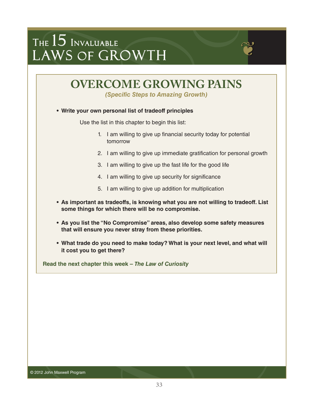

*(Specific Steps to Amazing Growth)* 

#### **• Write your own personal list of tradeoff principles**

Use the list in this chapter to begin this list:

- 1. I am willing to give up financial security today for potential tomorrow
- 2. I am willing to give up immediate gratification for personal growth
- 3. I am willing to give up the fast life for the good life
- 4. I am willing to give up security for significance
- 5. I am willing to give up addition for multiplication
- **As important as tradeoffs, is knowing what you are not willing to tradeoff. List some things for which there will be no compromise.**
- **As you list the "No Compromise" areas, also develop some safety measures that will ensure you never stray from these priorities.**
- **What trade do you need to make today? What is your next level, and what will it cost you to get there?**

**Read the next chapter this week –** *The Law of Curiosity*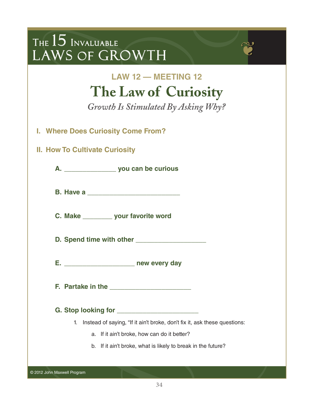| THE $15$ Invaluable |  |
|---------------------|--|
| LAWS OF GROWTH      |  |

### **LAW 12 — MEETING 12 The Law of Curiosity**

*Growth Is Stimulated By Asking Why?*

- **I. Where Does Curiosity Come From?**
- **II. How To Cultivate Curiosity**

**A. \_\_\_\_\_\_\_\_\_\_\_\_\_\_ you can be curious**

**B. Have a** *All <b>Have a All <b>H* 

**C. Make \_\_\_\_\_\_\_\_ your favorite word**

**D. Spend time with other \_\_\_\_\_\_\_\_\_\_\_\_\_\_\_\_\_\_\_**

**E. \_\_\_\_\_\_\_\_\_\_\_\_\_\_\_\_\_\_\_ new every day**

**F. Partake in the \_\_\_\_\_\_\_\_\_\_\_\_\_\_\_\_\_\_\_\_\_\_**

**G. Stop looking for \_\_\_\_\_\_\_\_\_\_\_\_\_\_\_\_\_\_\_\_\_\_**

- 1. Instead of saying, "If it ain't broke, don't fix it, ask these questions:
	- a. If it ain't broke, how can do it better?
	- b. If it ain't broke, what is likely to break in the future?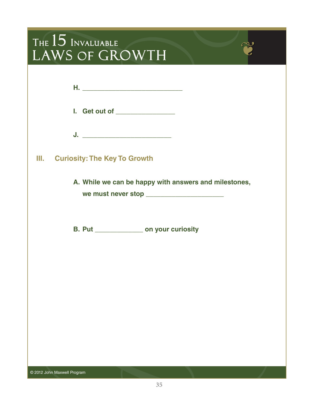| THE 15 INVALUABLE<br>LAWS OF GROWTH                                                                |  |
|----------------------------------------------------------------------------------------------------|--|
| I. Get out of ________________<br><u>J. ___________________________</u>                            |  |
| Ш.<br><b>Curiosity: The Key To Growth</b><br>A. While we can be happy with answers and milestones, |  |
| B. Put ________________ on your curiosity                                                          |  |
| <b>STATE OF BUILDING</b>                                                                           |  |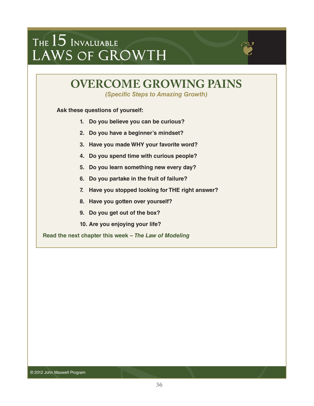### **OVERCOME GROWING PAINS**

*(Specific Steps to Amazing Growth)* 

**Ask these questions of yourself:** 

- **1. Do you believe you can be curious?**
- **2. Do you have a beginner's mindset?**
- **3. Have you made WHY your favorite word?**
- **4. Do you spend time with curious people?**
- **5. Do you learn something new every day?**
- **6. Do you partake in the fruit of failure?**
- **7. Have you stopped looking for THE right answer?**
- **8. Have you gotten over yourself?**
- **9. Do you get out of the box?**
- **10. Are you enjoying your life?**

**Read the next chapter this week –** *The Law of Modeling*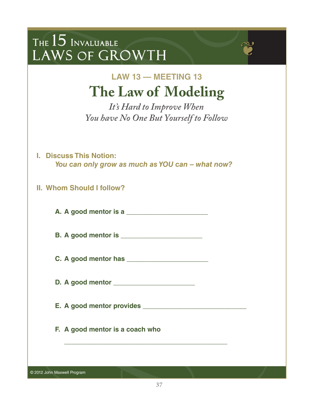### **LAW 13 — MEETING 13 The Law of Modeling**

*It's Hard to Improve When You have No One But Yourself to Follow*

- **I. Discuss This Notion:** *You can only grow as much as YOU can – what now?*
- **II. Whom Should I follow?**

**A. A good mentor is a \_\_\_\_\_\_\_\_\_\_\_\_\_\_\_\_\_\_\_\_\_\_**

**B. A good mentor is \_\_\_\_\_\_\_\_\_\_\_\_\_\_\_\_\_\_\_\_\_\_**

**C. A good mentor has \_\_\_\_\_\_\_\_\_\_\_\_\_\_\_\_\_\_\_\_\_\_**

**D. A good mentor \_\_\_\_\_\_\_\_\_\_\_\_\_\_\_\_\_\_\_\_\_\_**

**E. A good mentor provides \_\_\_\_\_\_\_\_\_\_\_\_\_\_\_\_\_\_\_\_\_\_\_\_\_\_\_\_**

**\_\_\_\_\_\_\_\_\_\_\_\_\_\_\_\_\_\_\_\_\_\_\_\_\_\_\_\_\_\_\_\_\_\_\_\_\_\_\_\_\_\_\_\_**

**F. A good mentor is a coach who**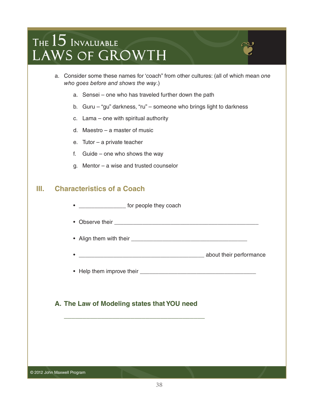- a. Consider some these names for 'coach" from other cultures: (all of which mean *one who goes before and shows the way*.)
	- a. Sensei one who has traveled further down the path
	- b. Guru "gu" darkness, "ru" someone who brings light to darkness
	- c. Lama one with spiritual authority
	- d. Maestro a master of music
	- e. Tutor a private teacher
	- f. Guide one who shows the way
	- g. Mentor a wise and trusted counselor

### **III. Characteristics of a Coach**

- \_\_\_\_\_\_\_\_\_\_\_\_\_\_\_\_\_ for people they coach
- Observe their \_\_\_\_\_\_\_\_\_\_\_\_\_\_\_\_\_\_\_\_\_\_\_\_\_\_\_\_\_\_\_\_\_\_\_\_\_\_\_\_\_\_\_\_\_\_
- Align them with their \_\_\_\_\_\_\_\_\_\_\_\_\_\_\_\_\_\_\_\_\_\_\_\_\_\_\_\_\_\_\_\_\_\_\_\_\_
- \_\_\_\_\_\_\_\_\_\_\_\_\_\_\_\_\_\_\_\_\_\_\_\_\_\_\_\_\_\_\_\_\_\_\_\_\_\_\_\_ about their performance
- Help them improve their \_\_\_\_\_\_\_\_\_\_\_\_\_\_\_\_\_\_\_\_\_\_\_\_\_\_\_\_\_\_\_\_\_\_\_\_\_

#### **A. The Law of Modeling states that YOU need**

**\_\_\_\_\_\_\_\_\_\_\_\_\_\_\_\_\_\_\_\_\_\_\_\_\_\_\_\_\_\_\_\_\_\_\_\_\_\_**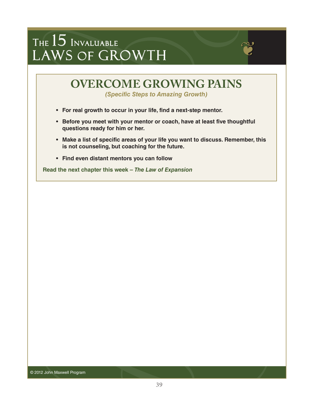

*(Specific Steps to Amazing Growth)* 

- **For real growth to occur in your life, find a next-step mentor.**
- **Before you meet with your mentor or coach, have at least five thoughtful questions ready for him or her.**
- **Make a list of specific areas of your life you want to discuss. Remember, this is not counseling, but coaching for the future.**
- **Find even distant mentors you can follow**

**Read the next chapter this week –** *The Law of Expansion*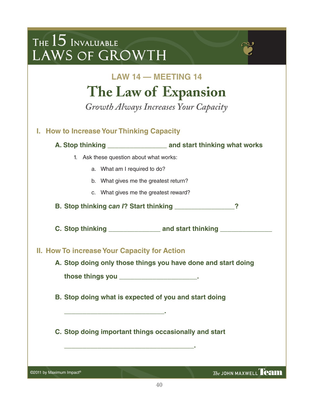| THE $15$ Invaluable<br>LAWS OF GROWTH                         |  |
|---------------------------------------------------------------|--|
| <b>LAW 14 - MEETING 14</b>                                    |  |
| The Law of Expansion                                          |  |
| Growth Always Increases Your Capacity                         |  |
| I. How to Increase Your Thinking Capacity                     |  |
|                                                               |  |
| 1. Ask these question about what works:                       |  |
| a. What am I required to do?                                  |  |
| b. What gives me the greatest return?                         |  |
| c. What gives me the greatest reward?                         |  |
| B. Stop thinking can I? Start thinking _______________        |  |
|                                                               |  |
| II. How To increase Your Capacity for Action                  |  |
| A. Stop doing only those things you have done and start doing |  |
| those things you ______________________.                      |  |
| B. Stop doing what is expected of you and start doing         |  |
| C. Stop doing important things occasionally and start         |  |
|                                                               |  |

©2011 by Maximum Impact<sup>®</sup>

 $The$  JOHN MAXWELL  $$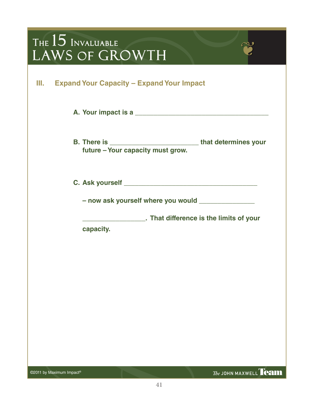- **A. Your impact is a \_\_\_\_\_\_\_\_\_\_\_\_\_\_\_\_\_\_\_\_\_\_\_\_\_\_\_\_\_\_\_\_\_\_\_\_**
- **B. There is \_\_\_\_\_\_\_\_\_\_\_\_\_\_\_\_\_\_\_\_\_\_\_\_ that determines your future – Your capacity must grow.**

**C. Ask yourself \_\_\_\_\_\_\_\_\_\_\_\_\_\_\_\_\_\_\_\_\_\_\_\_\_\_\_\_\_\_\_\_\_\_\_\_**

**– now ask yourself where you would \_\_\_\_\_\_\_\_\_\_\_\_\_\_\_**

**\_\_\_\_\_\_\_\_\_\_\_\_\_\_\_\_\_. That difference is the limits of your capacity.**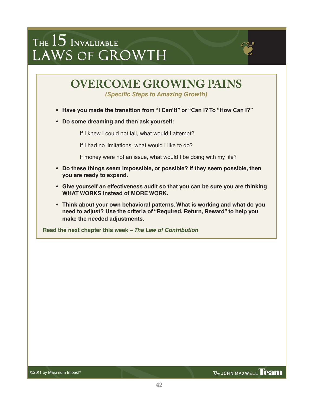

*(Specific Steps to Amazing Growth)* 

- **Have you made the transition from "I Can't!" or "Can I? To "How Can I?"**
- **Do some dreaming and then ask yourself:**

If I knew I could not fail, what would I attempt?

If I had no limitations, what would I like to do?

If money were not an issue, what would I be doing with my life?

- **Do these things seem impossible, or possible? If they seem possible, then you are ready to expand.**
- **Give yourself an effectiveness audit so that you can be sure you are thinking WHAT WORKS instead of MORE WORK.**
- **Think about your own behavioral patterns. What is working and what do you need to adjust? Use the criteria of "Required, Return, Reward" to help you make the needed adjustments.**

**Read the next chapter this week –** *The Law of Contribution*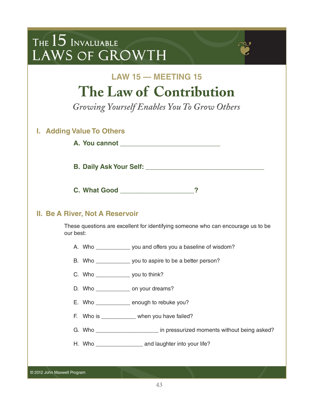| THE $15$ Invaluable<br>LAWS OF GROWTH                                                                                      |
|----------------------------------------------------------------------------------------------------------------------------|
| <b>LAW 15 - MEETING 15</b><br>The Law of Contribution<br>Growing Yourself Enables You To Grow Others                       |
| <b>I. Adding Value To Others</b>                                                                                           |
|                                                                                                                            |
|                                                                                                                            |
|                                                                                                                            |
| <b>II. Be A River, Not A Reservoir</b><br>These questions are excellent for identifying someone who can encourage us to be |
| our best:                                                                                                                  |
| A. Who _____________ you and offers you a baseline of wisdom?                                                              |
| B. Who _______________ you to aspire to be a better person?                                                                |
| C. Who $\frac{\ }{\ }$ you to think?                                                                                       |
| D. Who _______________ on your dreams?                                                                                     |
| E. Who ____________ enough to rebuke you?                                                                                  |
| F. Who is __________ when you have failed?                                                                                 |
| G. Who ________________________ in pressurized moments without being asked?                                                |
| H. Who _________________________ and laughter into your life?                                                              |
|                                                                                                                            |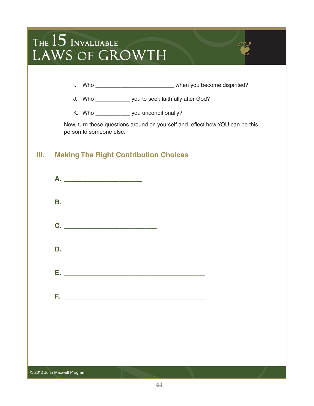| THE $15$ Invaluable<br>LAWS OF GROWTH                                                                                                                                                                                                                                                                   |  |
|---------------------------------------------------------------------------------------------------------------------------------------------------------------------------------------------------------------------------------------------------------------------------------------------------------|--|
| J. Who _______________ you to seek faithfully after God?<br>K. Who ________________ you unconditionally?<br>Now, turn these questions around on yourself and reflect how YOU can be this<br>person to someone else.<br>Ш.<br><b>Making The Right Contribution Choices</b><br>$C.$ $\qquad \qquad$<br>D. |  |
| © 2012 John Maxwell Program                                                                                                                                                                                                                                                                             |  |